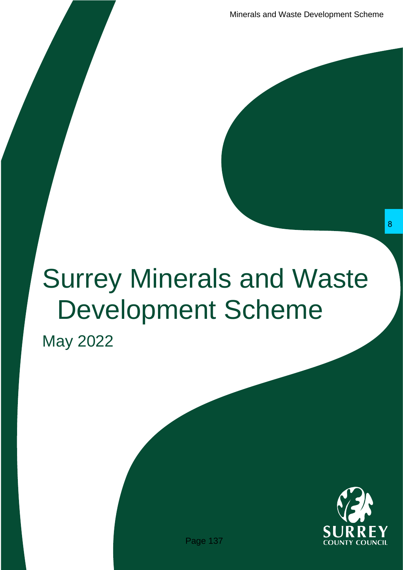# Surrey Minerals and Waste Development Scheme Frails and Waste<br>
Page 137<br>
Page 137 8 SURREY

May 2022

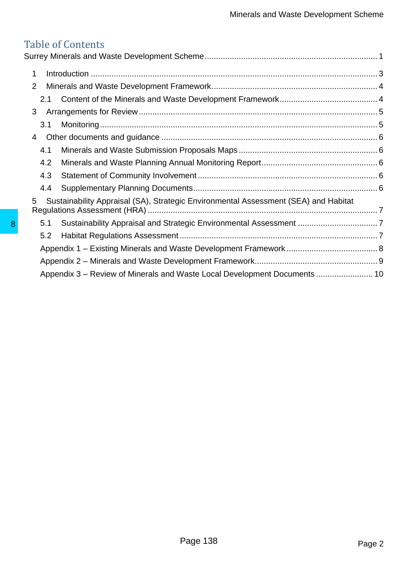# Table of Contents<br>Surrey Minerals and W

|   | 1                                                                                        |        |
|---|------------------------------------------------------------------------------------------|--------|
|   | $\overline{2}$                                                                           |        |
|   | 2.1                                                                                      |        |
|   | 3                                                                                        |        |
|   | 3.1                                                                                      |        |
|   | 4                                                                                        |        |
|   | 4.1                                                                                      |        |
|   | 4.2                                                                                      |        |
|   | 4.3                                                                                      |        |
|   | 4.4                                                                                      |        |
|   | Sustainability Appraisal (SA), Strategic Environmental Assessment (SEA) and Habitat<br>5 |        |
| 8 | 5.1                                                                                      |        |
|   | 5.2                                                                                      |        |
|   |                                                                                          |        |
|   |                                                                                          |        |
|   | Appendix 3 – Review of Minerals and Waste Local Development Documents  10                |        |
|   |                                                                                          |        |
|   |                                                                                          |        |
|   |                                                                                          |        |
|   |                                                                                          |        |
|   | Page 138                                                                                 | Page 2 |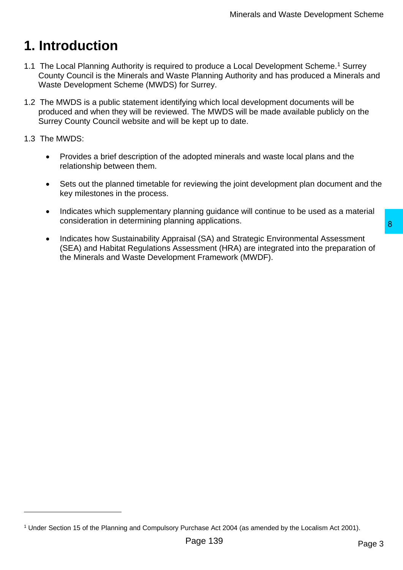# <span id="page-2-0"></span>**1. Introduction**

- 1.1 The Local Planning Authority is required to produce a Local Development Scheme.<sup>1</sup> Surrey County Council is the Minerals and Waste Planning Authority and has produced a Minerals and Waste Development Scheme (MWDS) for Surrey.
- 1.2 The MWDS is a public statement identifying which local development documents will be produced and when they will be reviewed. The MWDS will be made available publicly on the Surrey County Council website and will be kept up to date.

### 1.3 The MWDS:

- Provides a brief description of the adopted minerals and waste local plans and the relationship between them.
- Sets out the planned timetable for reviewing the joint development plan document and the key milestones in the process.
- Indicates which supplementary planning guidance will continue to be used as a material consideration in determining planning applications.
- Indicates how Sustainability Appraisal (SA) and Strategic Environmental Assessment (SEA) and Habitat Regulations Assessment (HRA) are integrated into the preparation of the Minerals and Waste Development Framework (MWDF). ing applications.<br>
Sal (SA) and Strategic Environmental Assessment<br>
ressment (HRA) are integrated into the preparation of<br>
ont Framework (MWDF).<br>
Page 139<br>
Page 139<br>
Page 139

<sup>1</sup> Under Section 15 of the Planning and Compulsory Purchase Act 2004 (as amended by the Localism Act 2001).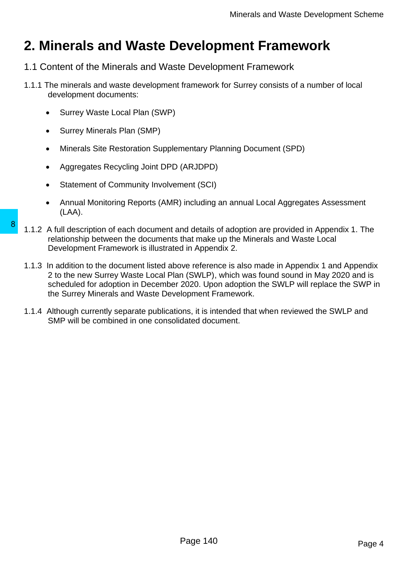# <span id="page-3-0"></span>**2. Minerals and Waste Development Framework**

- <span id="page-3-1"></span>1.1 Content of the Minerals and Waste Development Framework
- 1.1.1 The minerals and waste development framework for Surrey consists of a number of local development documents:
	- Surrey Waste Local Plan (SWP)
	- Surrey Minerals Plan (SMP)
	- Minerals Site Restoration Supplementary Planning Document (SPD)
	- Aggregates Recycling Joint DPD (ARJDPD)
	- Statement of Community Involvement (SCI)
	- Annual Monitoring Reports (AMR) including an annual Local Aggregates Assessment (LAA).
- 1.1.2 A full description of each document and details of adoption are provided in Appendix 1. The relationship between the documents that make up the Minerals and Waste Local Development Framework is illustrated in Appendix 2.
- 1.1.3 In addition to the document listed above reference is also made in Appendix 1 and Appendix 2 to the new Surrey Waste Local Plan (SWLP), which was found sound in May 2020 and is scheduled for adoption in December 2020. Upon adoption the SWLP will replace the SWP in the Surrey Minerals and Waste Development Framework. 8 1.1.2 A full description of each document and details<br>relationship between the documents that make<br>Development Framework is illustrated in Appen<br>1.1.3 In addition to the document listed above reference<br>2 to the new Surre
	- 1.1.4 Although currently separate publications, it is intended that when reviewed the SWLP and SMP will be combined in one consolidated document.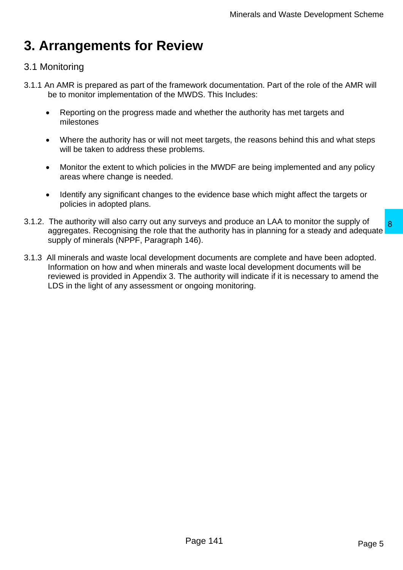# <span id="page-4-0"></span>**3. Arrangements for Review**

# <span id="page-4-1"></span>3.1 Monitoring

- 3.1.1 An AMR is prepared as part of the framework documentation. Part of the role of the AMR will be to monitor implementation of the MWDS. This Includes:
	- Reporting on the progress made and whether the authority has met targets and milestones
	- Where the authority has or will not meet targets, the reasons behind this and what steps will be taken to address these problems.
	- Monitor the extent to which policies in the MWDF are being implemented and any policy areas where change is needed.
	- Identify any significant changes to the evidence base which might affect the targets or policies in adopted plans.
- 3.1.2. The authority will also carry out any surveys and produce an LAA to monitor the supply of aggregates. Recognising the role that the authority has in planning for a steady and adequate supply of minerals (NPPF, Paragraph 146).
- 3.1.3 All minerals and waste local development documents are complete and have been adopted. Information on how and when minerals and waste local development documents will be reviewed is provided in Appendix 3. The authority will indicate if it is necessary to amend the LDS in the light of any assessment or ongoing monitoring. The authority has in planning for a steady and adequate and the authority has in planning for a steady and adequate and that the authority has in planning for a steady and adequate and waste local development documents wil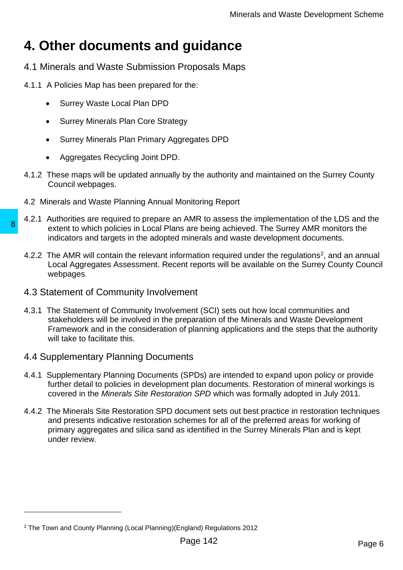# <span id="page-5-0"></span>**4. Other documents and guidance**

- <span id="page-5-1"></span>4.1 Minerals and Waste Submission Proposals Maps
- 4.1.1 A Policies Map has been prepared for the:
	- Surrey Waste Local Plan DPD
	- Surrey Minerals Plan Core Strategy
	- Surrey Minerals Plan Primary Aggregates DPD
	- Aggregates Recycling Joint DPD.
- 4.1.2 These maps will be updated annually by the authority and maintained on the Surrey County Council webpages.
- <span id="page-5-2"></span>4.2 Minerals and Waste Planning Annual Monitoring Report
- 4.2.1 Authorities are required to prepare an AMR to assess the implementation of the LDS and the extent to which policies in Local Plans are being achieved. The Surrey AMR monitors the indicators and targets in the adopted minerals and waste development documents.
- 4.2.2 The AMR will contain the relevant information required under the regulations<sup>2</sup>, and an annual Local Aggregates Assessment. Recent reports will be available on the Surrey County Council webpages.
- <span id="page-5-4"></span><span id="page-5-3"></span>4.3 Statement of Community Involvement
- 4.3.1 The Statement of Community Involvement (SCI) sets out how local communities and stakeholders will be involved in the preparation of the Minerals and Waste Development Framework and in the consideration of planning applications and the steps that the authority will take to facilitate this. extent to which policies in Local Plans are being<br>indicators and targets in Local Plans are being<br>indicators and targets in the adopted minerals at<br>the booking condition of Local Aggregates Assessment. Recent reports<br>webpa
	- 4.4 Supplementary Planning Documents
	- 4.4.1 Supplementary Planning Documents (SPDs) are intended to expand upon policy or provide further detail to policies in development plan documents. Restoration of mineral workings is covered in the *Minerals Site Restoration SPD* which was formally adopted in July 2011*.*
	- 4.4.2 The Minerals Site Restoration SPD document sets out best practice in restoration techniques and presents indicative restoration schemes for all of the preferred areas for working of primary aggregates and silica sand as identified in the Surrey Minerals Plan and is kept under review.

<sup>2</sup> The Town and County Planning (Local Planning)(England) Regulations 2012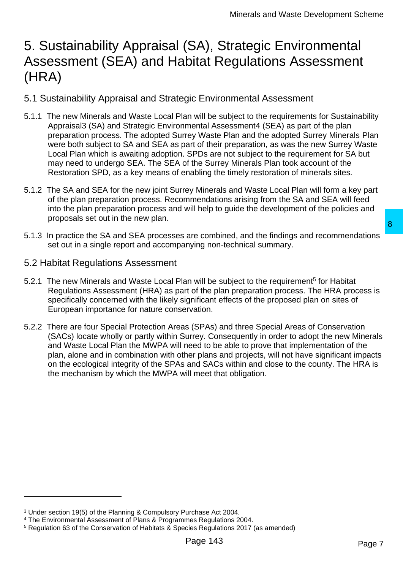# <span id="page-6-0"></span>5. Sustainability Appraisal (SA), Strategic Environmental Assessment (SEA) and Habitat Regulations Assessment (HRA)

- <span id="page-6-1"></span>5.1 Sustainability Appraisal and Strategic Environmental Assessment
- 5.1.1 The new Minerals and Waste Local Plan will be subject to the requirements for Sustainability Appraisal3 (SA) and Strategic Environmental Assessment4 (SEA) as part of the plan preparation process. The adopted Surrey Waste Plan and the adopted Surrey Minerals Plan were both subject to SA and SEA as part of their preparation, as was the new Surrey Waste Local Plan which is awaiting adoption. SPDs are not subject to the requirement for SA but may need to undergo SEA. The SEA of the Surrey Minerals Plan took account of the Restoration SPD, as a key means of enabling the timely restoration of minerals sites.
- 5.1.2 The SA and SEA for the new joint Surrey Minerals and Waste Local Plan will form a key part of the plan preparation process. Recommendations arising from the SA and SEA will feed into the plan preparation process and will help to guide the development of the policies and proposals set out in the new plan.
- 5.1.3 In practice the SA and SEA processes are combined, and the findings and recommendations set out in a single report and accompanying non-technical summary.
- <span id="page-6-2"></span>5.2 Habitat Regulations Assessment
- 5.2.1 The new Minerals and Waste Local Plan will be subject to the requirement<sup>5</sup> for Habitat Regulations Assessment (HRA) as part of the plan preparation process. The HRA process is specifically concerned with the likely significant effects of the proposed plan on sites of European importance for nature conservation.
- 5.2.2 There are four Special Protection Areas (SPAs) and three Special Areas of Conservation (SACs) locate wholly or partly within Surrey. Consequently in order to adopt the new Minerals and Waste Local Plan the MWPA will need to be able to prove that implementation of the plan, alone and in combination with other plans and projects, will not have significant impacts on the ecological integrity of the SPAs and SACs within and close to the county. The HRA is the mechanism by which the MWPA will meet that obligation. are combined, and the findings and recommendations<br>
mying non-technical summary.<br>
In will be subject to the requirement<sup>5</sup> for Habitat<br>
of the plan preparation process. The HRA process is<br>
ergnificant effects of the propos

<sup>3</sup> Under section 19(5) of the Planning & Compulsory Purchase Act 2004.

<sup>4</sup> The Environmental Assessment of Plans & Programmes Regulations 2004.

<sup>5</sup> Regulation 63 of the Conservation of Habitats & Species Regulations 2017 (as amended)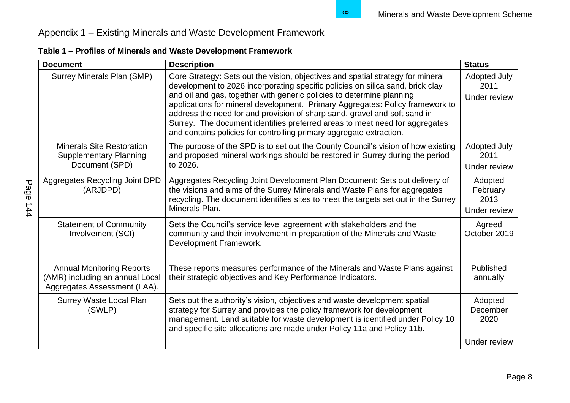# Appendix 1 – Existing Minerals and Waste Development Framework

|                                                                                                     | Table 1 - Profiles of Minerals and Waste Development Framework                                                                                                                                                                                                                                                                                                                                                                                                                                                                                                 |                                             |
|-----------------------------------------------------------------------------------------------------|----------------------------------------------------------------------------------------------------------------------------------------------------------------------------------------------------------------------------------------------------------------------------------------------------------------------------------------------------------------------------------------------------------------------------------------------------------------------------------------------------------------------------------------------------------------|---------------------------------------------|
| <b>Document</b>                                                                                     | <b>Description</b>                                                                                                                                                                                                                                                                                                                                                                                                                                                                                                                                             | <b>Status</b>                               |
| Surrey Minerals Plan (SMP)                                                                          | Core Strategy: Sets out the vision, objectives and spatial strategy for mineral<br>development to 2026 incorporating specific policies on silica sand, brick clay<br>and oil and gas, together with generic policies to determine planning<br>applications for mineral development. Primary Aggregates: Policy framework to<br>address the need for and provision of sharp sand, gravel and soft sand in<br>Surrey. The document identifies preferred areas to meet need for aggregates<br>and contains policies for controlling primary aggregate extraction. | <b>Adopted July</b><br>2011<br>Under review |
| <b>Minerals Site Restoration</b><br><b>Supplementary Planning</b><br>Document (SPD)                 | The purpose of the SPD is to set out the County Council's vision of how existing<br>and proposed mineral workings should be restored in Surrey during the period<br>to 2026.                                                                                                                                                                                                                                                                                                                                                                                   | <b>Adopted July</b><br>2011<br>Under review |
| Aggregates Recycling Joint DPD                                                                      | Aggregates Recycling Joint Development Plan Document: Sets out delivery of                                                                                                                                                                                                                                                                                                                                                                                                                                                                                     | Adopted                                     |
| (ARJDPD)                                                                                            | the visions and aims of the Surrey Minerals and Waste Plans for aggregates<br>recycling. The document identifies sites to meet the targets set out in the Surrey<br>Minerals Plan.                                                                                                                                                                                                                                                                                                                                                                             | February<br>2013<br>Under review            |
|                                                                                                     |                                                                                                                                                                                                                                                                                                                                                                                                                                                                                                                                                                |                                             |
| <b>Statement of Community</b><br>Involvement (SCI)                                                  | Sets the Council's service level agreement with stakeholders and the<br>community and their involvement in preparation of the Minerals and Waste<br>Development Framework.                                                                                                                                                                                                                                                                                                                                                                                     | Agreed<br>October 2019                      |
| <b>Annual Monitoring Reports</b><br>(AMR) including an annual Local<br>Aggregates Assessment (LAA). | These reports measures performance of the Minerals and Waste Plans against<br>their strategic objectives and Key Performance Indicators.                                                                                                                                                                                                                                                                                                                                                                                                                       | Published<br>annually                       |
| <b>Surrey Waste Local Plan</b><br>(SWLP)                                                            | Sets out the authority's vision, objectives and waste development spatial<br>strategy for Surrey and provides the policy framework for development<br>management. Land suitable for waste development is identified under Policy 10<br>and specific site allocations are made under Policy 11a and Policy 11b.                                                                                                                                                                                                                                                 | Adopted<br>December<br>2020                 |
|                                                                                                     |                                                                                                                                                                                                                                                                                                                                                                                                                                                                                                                                                                | Under review                                |

<span id="page-7-0"></span>**Table 1 – Profiles of Minerals and Waste Development Framework**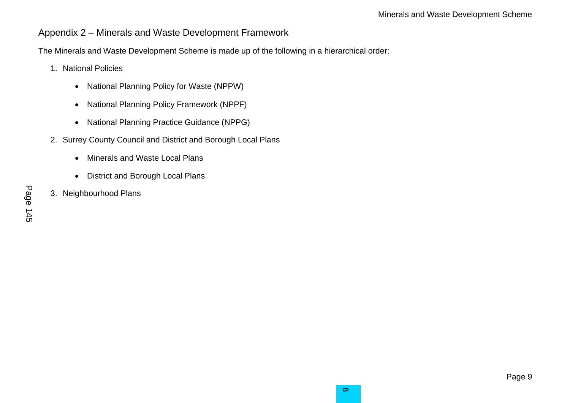### Appendix 2 – Minerals and Waste Development Framework

The Minerals and Waste Development Scheme is made up of the following in a hierarchical order:

- 1. National Policies
	- National Planning Policy for Waste (NPPW)
	- National Planning Policy Framework (NPPF)
	- National Planning Practice Guidance (NPPG)
- 2. Surrey County Council and District and Borough Local Plans
	- Minerals and Waste Local Plans
	- District and Borough Local Plans
- <span id="page-8-0"></span>3. Neighbourhood Plans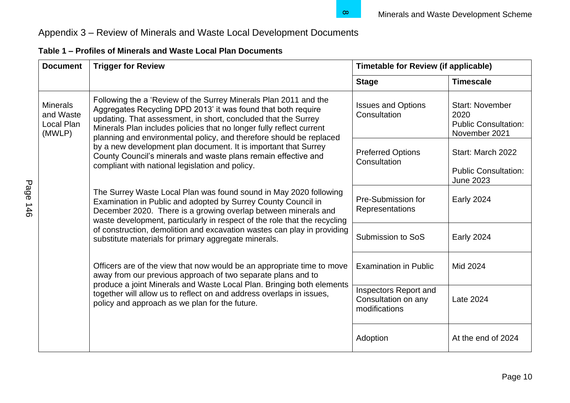# Appendix 3 – Review of Minerals and Waste Local Development Documents

| <b>Document</b>                                      | <b>Trigger for Review</b>                                                                                                                                                                                                                                                                                                                                                                                                                                                                                                                  | <b>Timetable for Review (if applicable)</b>                   |                                                                                |
|------------------------------------------------------|--------------------------------------------------------------------------------------------------------------------------------------------------------------------------------------------------------------------------------------------------------------------------------------------------------------------------------------------------------------------------------------------------------------------------------------------------------------------------------------------------------------------------------------------|---------------------------------------------------------------|--------------------------------------------------------------------------------|
|                                                      |                                                                                                                                                                                                                                                                                                                                                                                                                                                                                                                                            | <b>Stage</b>                                                  | <b>Timescale</b>                                                               |
| <b>Minerals</b><br>and Waste<br>Local Plan<br>(MWLP) | Following the a 'Review of the Surrey Minerals Plan 2011 and the<br>Aggregates Recycling DPD 2013' it was found that both require<br>updating. That assessment, in short, concluded that the Surrey<br>Minerals Plan includes policies that no longer fully reflect current<br>planning and environmental policy, and therefore should be replaced<br>by a new development plan document. It is important that Surrey<br>County Council's minerals and waste plans remain effective and<br>compliant with national legislation and policy. | <b>Issues and Options</b><br>Consultation                     | <b>Start: November</b><br>2020<br><b>Public Consultation:</b><br>November 2021 |
|                                                      |                                                                                                                                                                                                                                                                                                                                                                                                                                                                                                                                            | <b>Preferred Options</b><br>Consultation                      | Start: March 2022<br><b>Public Consultation:</b><br><b>June 2023</b>           |
|                                                      | The Surrey Waste Local Plan was found sound in May 2020 following<br>Examination in Public and adopted by Surrey County Council in<br>December 2020. There is a growing overlap between minerals and<br>waste development, particularly in respect of the role that the recycling                                                                                                                                                                                                                                                          | Pre-Submission for<br>Representations                         | <b>Early 2024</b>                                                              |
|                                                      | of construction, demolition and excavation wastes can play in providing<br>substitute materials for primary aggregate minerals.<br>Officers are of the view that now would be an appropriate time to move<br>away from our previous approach of two separate plans and to<br>produce a joint Minerals and Waste Local Plan. Bringing both elements<br>together will allow us to reflect on and address overlaps in issues,<br>policy and approach as we plan for the future.                                                               | Submission to SoS                                             | <b>Early 2024</b>                                                              |
|                                                      |                                                                                                                                                                                                                                                                                                                                                                                                                                                                                                                                            | <b>Examination in Public</b>                                  | Mid 2024                                                                       |
|                                                      |                                                                                                                                                                                                                                                                                                                                                                                                                                                                                                                                            | Inspectors Report and<br>Consultation on any<br>modifications | Late 2024                                                                      |
|                                                      |                                                                                                                                                                                                                                                                                                                                                                                                                                                                                                                                            | Adoption                                                      | At the end of 2024                                                             |

## <span id="page-9-0"></span>**Table 1 – Profiles of Minerals and Waste Local Plan Documents**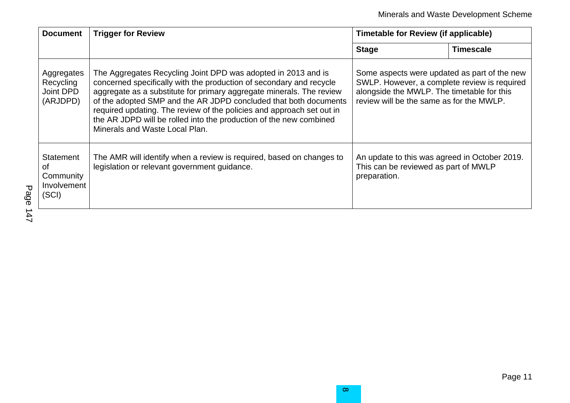| <b>Document</b>                                             | <b>Trigger for Review</b>                                                                                                                                                                                                                                                                                                                                                                                                                                         | <b>Timetable for Review (if applicable)</b>                                                                                                                                            |                  |
|-------------------------------------------------------------|-------------------------------------------------------------------------------------------------------------------------------------------------------------------------------------------------------------------------------------------------------------------------------------------------------------------------------------------------------------------------------------------------------------------------------------------------------------------|----------------------------------------------------------------------------------------------------------------------------------------------------------------------------------------|------------------|
|                                                             |                                                                                                                                                                                                                                                                                                                                                                                                                                                                   | <b>Stage</b>                                                                                                                                                                           | <b>Timescale</b> |
| Aggregates<br>Recycling<br>Joint DPD<br>(ARJDPD)            | The Aggregates Recycling Joint DPD was adopted in 2013 and is<br>concerned specifically with the production of secondary and recycle<br>aggregate as a substitute for primary aggregate minerals. The review<br>of the adopted SMP and the AR JDPD concluded that both documents<br>required updating. The review of the policies and approach set out in<br>the AR JDPD will be rolled into the production of the new combined<br>Minerals and Waste Local Plan. | Some aspects were updated as part of the new<br>SWLP. However, a complete review is required<br>alongside the MWLP. The timetable for this<br>review will be the same as for the MWLP. |                  |
| <b>Statement</b><br>0f<br>Community<br>Involvement<br>(SCI) | The AMR will identify when a review is required, based on changes to<br>legislation or relevant government guidance.                                                                                                                                                                                                                                                                                                                                              | An update to this was agreed in October 2019.<br>This can be reviewed as part of MWLP<br>preparation.                                                                                  |                  |